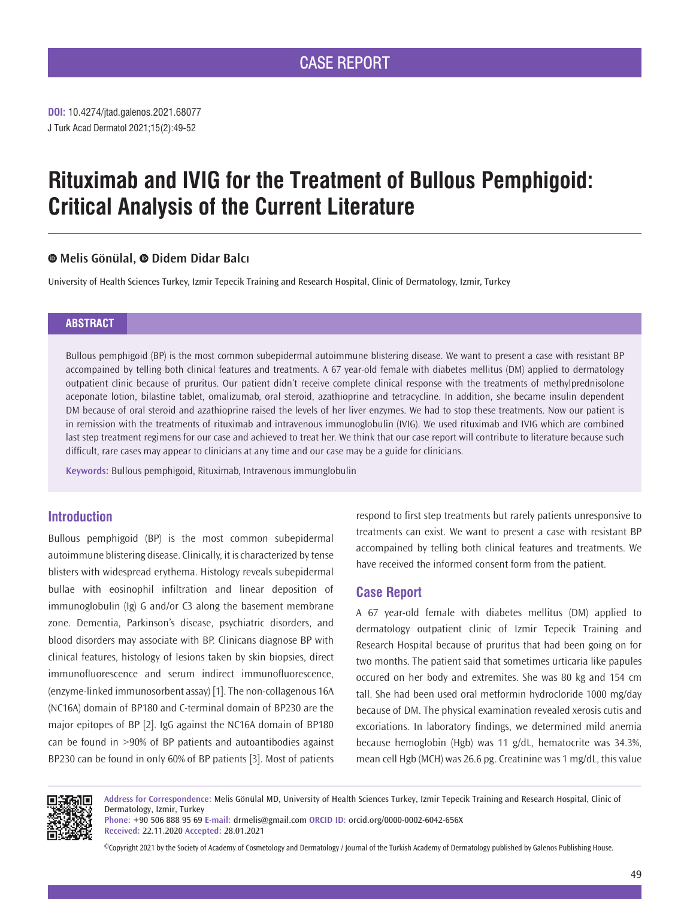**DOI:** 10.4274/jtad.galenos.2021.68077 J Turk Acad Dermatol 2021;15(2):49-52

# **Rituximab and IVIG for the Treatment of Bullous Pemphigoid: Critical Analysis of the Current Literature**

## **Melis Gönülal,Didem Didar Balcı**

University of Health Sciences Turkey, Izmir Tepecik Training and Research Hospital, Clinic of Dermatology, Izmir, Turkey

## **ABSTRACT**

Bullous pemphigoid (BP) is the most common subepidermal autoimmune blistering disease. We want to present a case with resistant BP accompained by telling both clinical features and treatments. A 67 year-old female with diabetes mellitus (DM) applied to dermatology outpatient clinic because of pruritus. Our patient didn't receive complete clinical response with the treatments of methylprednisolone aceponate lotion, bilastine tablet, omalizumab, oral steroid, azathioprine and tetracycline. In addition, she became insulin dependent DM because of oral steroid and azathioprine raised the levels of her liver enzymes. We had to stop these treatments. Now our patient is in remission with the treatments of rituximab and intravenous immunoglobulin (IVIG). We used rituximab and IVIG which are combined last step treatment regimens for our case and achieved to treat her. We think that our case report will contribute to literature because such difficult, rare cases may appear to clinicians at any time and our case may be a guide for clinicians.

**Keywords:** Bullous pemphigoid, Rituximab, Intravenous immunglobulin

# **Introduction**

Bullous pemphigoid (BP) is the most common subepidermal autoimmune blistering disease. Clinically, it is characterized by tense blisters with widespread erythema. Histology reveals subepidermal bullae with eosinophil infiltration and linear deposition of immunoglobulin (Ig) G and/or C3 along the basement membrane zone. Dementia, Parkinson's disease, psychiatric disorders, and blood disorders may associate with BP. Clinicans diagnose BP with clinical features, histology of lesions taken by skin biopsies, direct immunofluorescence and serum indirect immunofluorescence, (enzyme-linked immunosorbent assay) [1]. The non-collagenous 16A (NC16A) domain of BP180 and C-terminal domain of BP230 are the major epitopes of BP [2]. IgG against the NC16A domain of BP180 can be found in >90% of BP patients and autoantibodies against BP230 can be found in only 60% of BP patients [3]. Most of patients

respond to first step treatments but rarely patients unresponsive to treatments can exist. We want to present a case with resistant BP accompained by telling both clinical features and treatments. We have received the informed consent form from the patient.

# **Case Report**

A 67 year-old female with diabetes mellitus (DM) applied to dermatology outpatient clinic of Izmir Tepecik Training and Research Hospital because of pruritus that had been going on for two months. The patient said that sometimes urticaria like papules occured on her body and extremites. She was 80 kg and 154 cm tall. She had been used oral metformin hydrocloride 1000 mg/day because of DM. The physical examination revealed xerosis cutis and excoriations. In laboratory findings, we determined mild anemia because hemoglobin (Hgb) was 11 g/dL, hematocrite was 34.3%, mean cell Hgb (MCH) was 26.6 pg. Creatinine was 1 mg/dL, this value



**Address for Correspondence:** Melis Gönülal MD, University of Health Sciences Turkey, Izmir Tepecik Training and Research Hospital, Clinic of Dermatology, Izmir, Turkey

**Phone:** +90 506 888 95 69 **E-mail:** drmelis@gmail.com **ORCID ID:** orcid.org/0000-0002-6042-656X **Received:** 22.11.2020 **Accepted:** 28.01.2021

©Copyright 2021 by the Society of Academy of Cosmetology and Dermatology / Journal of the Turkish Academy of Dermatology published by Galenos Publishing House.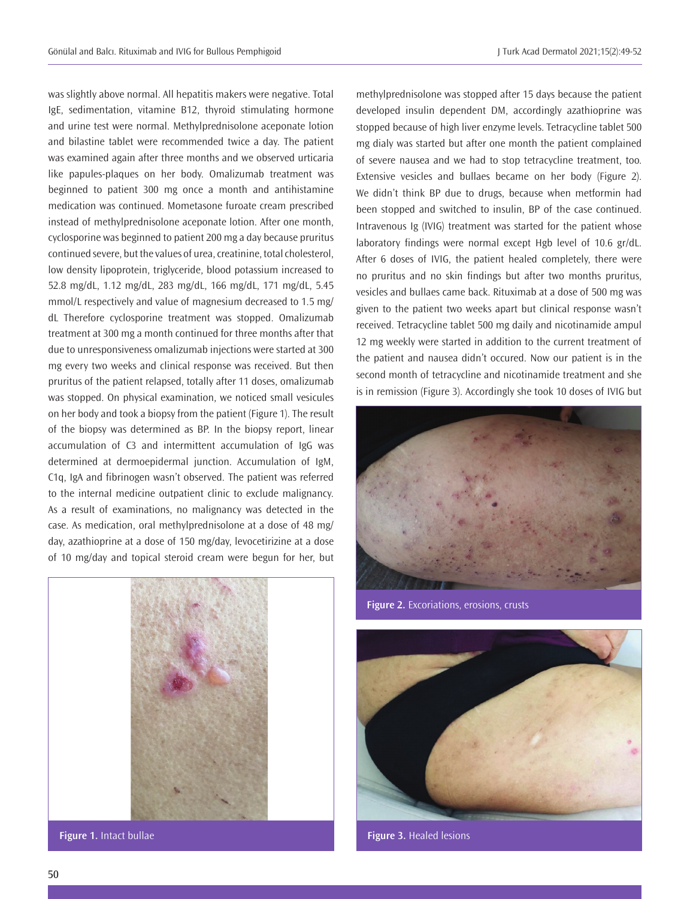was slightly above normal. All hepatitis makers were negative. Total IgE, sedimentation, vitamine B12, thyroid stimulating hormone and urine test were normal. Methylprednisolone aceponate lotion and bilastine tablet were recommended twice a day. The patient was examined again after three months and we observed urticaria like papules-plaques on her body. Omalizumab treatment was beginned to patient 300 mg once a month and antihistamine medication was continued. Mometasone furoate cream prescribed instead of methylprednisolone aceponate lotion. After one month, cyclosporine was beginned to patient 200 mg a day because pruritus continued severe, but the values of urea, creatinine, total cholesterol, low density lipoprotein, triglyceride, blood potassium increased to 52.8 mg/dL, 1.12 mg/dL, 283 mg/dL, 166 mg/dL, 171 mg/dL, 5.45 mmol/L respectively and value of magnesium decreased to 1.5 mg/ dL Therefore cyclosporine treatment was stopped. Omalizumab treatment at 300 mg a month continued for three months after that due to unresponsiveness omalizumab injections were started at 300 mg every two weeks and clinical response was received. But then pruritus of the patient relapsed, totally after 11 doses, omalizumab was stopped. On physical examination, we noticed small vesicules on her body and took a biopsy from the patient (Figure 1). The result of the biopsy was determined as BP. In the biopsy report, linear accumulation of C3 and intermittent accumulation of IgG was determined at dermoepidermal junction. Accumulation of IgM, C1q, IgA and fibrinogen wasn't observed. The patient was referred to the internal medicine outpatient clinic to exclude malignancy. As a result of examinations, no malignancy was detected in the case. As medication, oral methylprednisolone at a dose of 48 mg/ day, azathioprine at a dose of 150 mg/day, levocetirizine at a dose of 10 mg/day and topical steroid cream were begun for her, but



methylprednisolone was stopped after 15 days because the patient developed insulin dependent DM, accordingly azathioprine was stopped because of high liver enzyme levels. Tetracycline tablet 500 mg dialy was started but after one month the patient complained of severe nausea and we had to stop tetracycline treatment, too. Extensive vesicles and bullaes became on her body (Figure 2). We didn't think BP due to drugs, because when metformin had been stopped and switched to insulin, BP of the case continued. Intravenous Ig (IVIG) treatment was started for the patient whose laboratory findings were normal except Hgb level of 10.6 gr/dL. After 6 doses of IVIG, the patient healed completely, there were no pruritus and no skin findings but after two months pruritus, vesicles and bullaes came back. Rituximab at a dose of 500 mg was given to the patient two weeks apart but clinical response wasn't received. Tetracycline tablet 500 mg daily and nicotinamide ampul 12 mg weekly were started in addition to the current treatment of the patient and nausea didn't occured. Now our patient is in the second month of tetracycline and nicotinamide treatment and she is in remission (Figure 3). Accordingly she took 10 doses of IVIG but



**Figure 2.** Excoriations, erosions, crusts

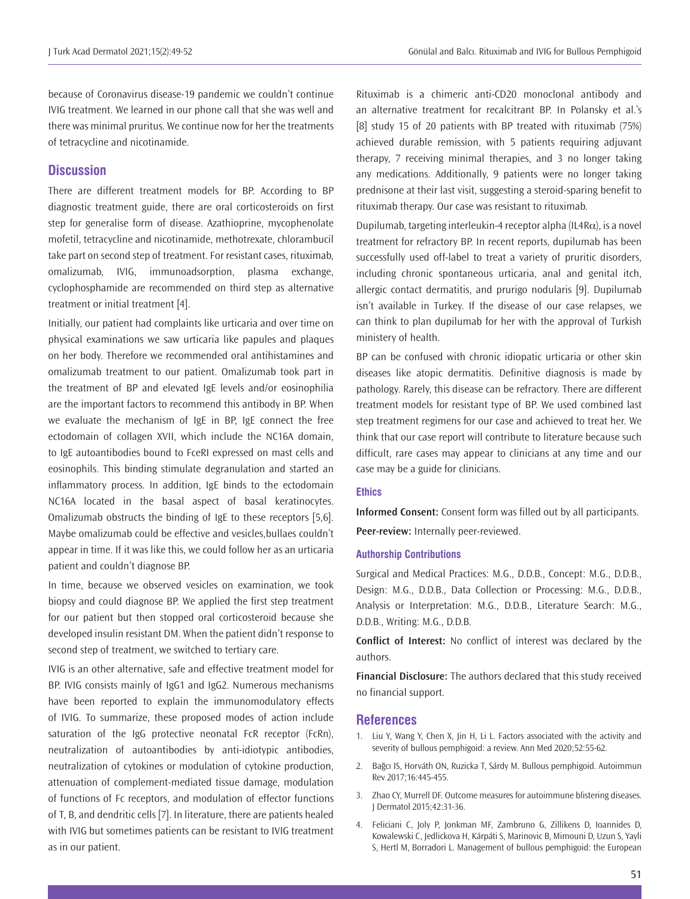because of Coronavirus disease-19 pandemic we couldn't continue IVIG treatment. We learned in our phone call that she was well and there was minimal pruritus. We continue now for her the treatments of tetracycline and nicotinamide.

### **Discussion**

There are different treatment models for BP. According to BP diagnostic treatment guide, there are oral corticosteroids on first step for generalise form of disease. Azathioprine, mycophenolate mofetil, tetracycline and nicotinamide, methotrexate, chlorambucil take part on second step of treatment. For resistant cases, rituximab, omalizumab, IVIG, immunoadsorption, plasma exchange, cyclophosphamide are recommended on third step as alternative treatment or initial treatment [4].

Initially, our patient had complaints like urticaria and over time on physical examinations we saw urticaria like papules and plaques on her body. Therefore we recommended oral antihistamines and omalizumab treatment to our patient. Omalizumab took part in the treatment of BP and elevated IgE levels and/or eosinophilia are the important factors to recommend this antibody in BP. When we evaluate the mechanism of IgE in BP, IgE connect the free ectodomain of collagen XVII, which include the NC16A domain, to IgE autoantibodies bound to FceRI expressed on mast cells and eosinophils. This binding stimulate degranulation and started an inflammatory process. In addition, IgE binds to the ectodomain NC16A located in the basal aspect of basal keratinocytes. Omalizumab obstructs the binding of IgE to these receptors [5,6]. Maybe omalizumab could be effective and vesicles,bullaes couldn't appear in time. If it was like this, we could follow her as an urticaria patient and couldn't diagnose BP.

In time, because we observed vesicles on examination, we took biopsy and could diagnose BP. We applied the first step treatment for our patient but then stopped oral corticosteroid because she developed insulin resistant DM. When the patient didn't response to second step of treatment, we switched to tertiary care.

IVIG is an other alternative, safe and effective treatment model for BP. IVIG consists mainly of IgG1 and IgG2. Numerous mechanisms have been reported to explain the immunomodulatory effects of IVIG. To summarize, these proposed modes of action include saturation of the IgG protective neonatal FcR receptor (FcRn), neutralization of autoantibodies by anti-idiotypic antibodies, neutralization of cytokines or modulation of cytokine production, attenuation of complement-mediated tissue damage, modulation of functions of Fc receptors, and modulation of effector functions of T, B, and dendritic cells [7]. In literature, there are patients healed with IVIG but sometimes patients can be resistant to IVIG treatment as in our patient.

Rituximab is a chimeric anti-CD20 monoclonal antibody and an alternative treatment for recalcitrant BP. In Polansky et al.'s [8] study 15 of 20 patients with BP treated with rituximab (75%) achieved durable remission, with 5 patients requiring adjuvant therapy, 7 receiving minimal therapies, and 3 no longer taking any medications. Additionally, 9 patients were no longer taking prednisone at their last visit, suggesting a steroid-sparing benefit to rituximab therapy. Our case was resistant to rituximab.

Dupilumab, targeting interleukin-4 receptor alpha (IL4R $\alpha$ ), is a novel treatment for refractory BP. In recent reports, dupilumab has been successfully used off-label to treat a variety of pruritic disorders, including chronic spontaneous urticaria, anal and genital itch, allergic contact dermatitis, and prurigo nodularis [9]. Dupilumab isn't available in Turkey. If the disease of our case relapses, we can think to plan dupilumab for her with the approval of Turkish ministery of health.

BP can be confused with chronic idiopatic urticaria or other skin diseases like atopic dermatitis. Definitive diagnosis is made by pathology. Rarely, this disease can be refractory. There are different treatment models for resistant type of BP. We used combined last step treatment regimens for our case and achieved to treat her. We think that our case report will contribute to literature because such difficult, rare cases may appear to clinicians at any time and our case may be a guide for clinicians.

#### **Ethics**

**Informed Consent:** Consent form was filled out by all participants.

**Peer-review:** Internally peer-reviewed.

#### **Authorship Contributions**

Surgical and Medical Practices: M.G., D.D.B., Concept: M.G., D.D.B., Design: M.G., D.D.B., Data Collection or Processing: M.G., D.D.B., Analysis or Interpretation: M.G., D.D.B., Literature Search: M.G., D.D.B., Writing: M.G., D.D.B.

**Conflict of Interest:** No conflict of interest was declared by the authors.

**Financial Disclosure:** The authors declared that this study received no financial support.

#### **References**

- 1. Liu Y, Wang Y, Chen X, Jin H, Li L. Factors associated with the activity and severity of bullous pemphigoid: a review. Ann Med 2020;52:55-62.
- 2. Bağcı IS, Horváth ON, Ruzicka T, Sárdy M. Bullous pemphigoid. Autoimmun Rev 2017;16:445-455.
- 3. Zhao CY, Murrell DF. Outcome measures for autoimmune blistering diseases. J Dermatol 2015;42:31-36.
- 4. Feliciani C, Joly P, Jonkman MF, Zambruno G, Zillikens D, Ioannides D, Kowalewski C, Jedlickova H, Kárpáti S, Marinovic B, Mimouni D, Uzun S, Yayli S, Hertl M, Borradori L. Management of bullous pemphigoid: the European